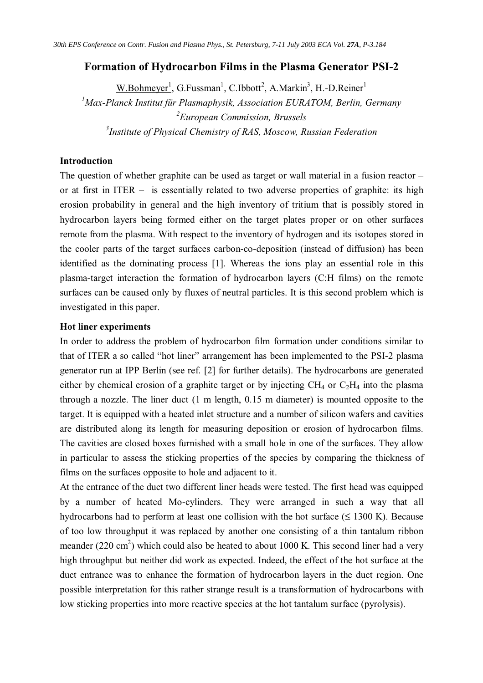## **Formation of Hydrocarbon Films in the Plasma Generator PSI-2**

W.Bohmeyer<sup>1</sup>, G.Fussman<sup>1</sup>, C.Ibbott<sup>2</sup>, A.Markin<sup>3</sup>, H.-D.Reiner<sup>1</sup> *Max-Planck Institut für Plasmaphysik, Association EURATOM, Berlin, Germany European Commission, Brussels Institute of Physical Chemistry of RAS, Moscow, Russian Federation*

### **Introduction**

The question of whether graphite can be used as target or wall material in a fusion reactor – or at first in ITER – is essentially related to two adverse properties of graphite: its high erosion probability in general and the high inventory of tritium that is possibly stored in hydrocarbon layers being formed either on the target plates proper or on other surfaces remote from the plasma. With respect to the inventory of hydrogen and its isotopes stored in the cooler parts of the target surfaces carbon-co-deposition (instead of diffusion) has been identified as the dominating process [1]. Whereas the ions play an essential role in this plasma-target interaction the formation of hydrocarbon layers (C:H films) on the remote surfaces can be caused only by fluxes of neutral particles. It is this second problem which is investigated in this paper.

## **Hot liner experiments**

In order to address the problem of hydrocarbon film formation under conditions similar to that of ITER a so called "hot liner" arrangement has been implemented to the PSI-2 plasma generator run at IPP Berlin (see ref. [2] for further details). The hydrocarbons are generated either by chemical erosion of a graphite target or by injecting  $CH_4$  or  $C_2H_4$  into the plasma through a nozzle. The liner duct (1 m length, 0.15 m diameter) is mounted opposite to the target. It is equipped with a heated inlet structure and a number of silicon wafers and cavities are distributed along its length for measuring deposition or erosion of hydrocarbon films. The cavities are closed boxes furnished with a small hole in one of the surfaces. They allow in particular to assess the sticking properties of the species by comparing the thickness of films on the surfaces opposite to hole and adjacent to it.

At the entrance of the duct two different liner heads were tested. The first head was equipped by a number of heated Mo-cylinders. They were arranged in such a way that all hydrocarbons had to perform at least one collision with the hot surface  $(\leq 1300 \text{ K})$ . Because of too low throughput it was replaced by another one consisting of a thin tantalum ribbon meander (220 cm<sup>2</sup>) which could also be heated to about 1000 K. This second liner had a very high throughput but neither did work as expected. Indeed, the effect of the hot surface at the duct entrance was to enhance the formation of hydrocarbon layers in the duct region. One possible interpretation for this rather strange result is a transformation of hydrocarbons with low sticking properties into more reactive species at the hot tantalum surface (pyrolysis).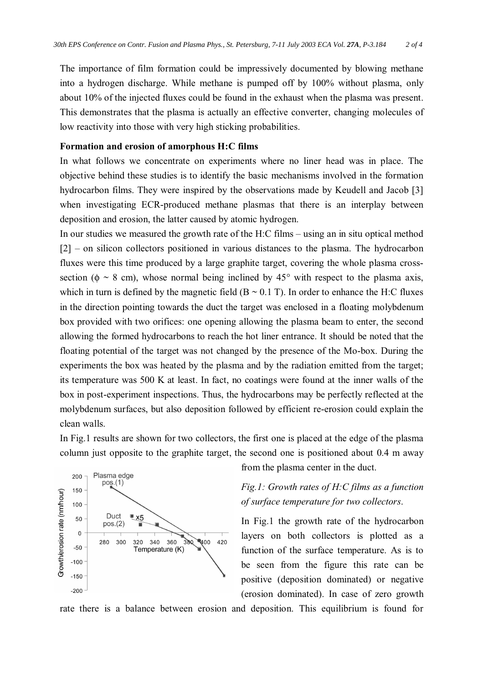The importance of film formation could be impressively documented by blowing methane into a hydrogen discharge. While methane is pumped off by 100% without plasma, only about 10% of the injected fluxes could be found in the exhaust when the plasma was present. This demonstrates that the plasma is actually an effective converter, changing molecules of low reactivity into those with very high sticking probabilities.

## **Formation and erosion of amorphous H:C films**

In what follows we concentrate on experiments where no liner head was in place. The objective behind these studies is to identify the basic mechanisms involved in the formation hydrocarbon films. They were inspired by the observations made by Keudell and Jacob [3] when investigating ECR-produced methane plasmas that there is an interplay between deposition and erosion, the latter caused by atomic hydrogen.

In our studies we measured the growth rate of the H:C films – using an in situ optical method [2] – on silicon collectors positioned in various distances to the plasma. The hydrocarbon fluxes were this time produced by a large graphite target, covering the whole plasma crosssection ( $\phi \sim 8$  cm), whose normal being inclined by 45° with respect to the plasma axis, which in turn is defined by the magnetic field  $(B \sim 0.1 \text{ T})$ . In order to enhance the H:C fluxes in the direction pointing towards the duct the target was enclosed in a floating molybdenum box provided with two orifices: one opening allowing the plasma beam to enter, the second allowing the formed hydrocarbons to reach the hot liner entrance. It should be noted that the floating potential of the target was not changed by the presence of the Mo-box. During the experiments the box was heated by the plasma and by the radiation emitted from the target; its temperature was 500 K at least. In fact, no coatings were found at the inner walls of the box in post-experiment inspections. Thus, the hydrocarbons may be perfectly reflected at the molybdenum surfaces, but also deposition followed by efficient re-erosion could explain the clean walls.

In Fig.1 results are shown for two collectors, the first one is placed at the edge of the plasma column just opposite to the graphite target, the second one is positioned about 0.4 m away



from the plasma center in the duct.

# *Fig.1: Growth rates of H:C films as a function of surface temperature for two collectors*.

In Fig.1 the growth rate of the hydrocarbon layers on both collectors is plotted as a function of the surface temperature. As is to be seen from the figure this rate can be positive (deposition dominated) or negative (erosion dominated). In case of zero growth

rate there is a balance between erosion and deposition. This equilibrium is found for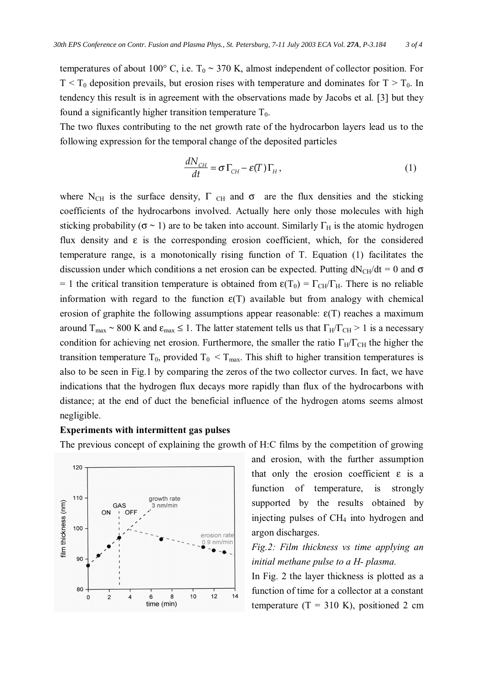temperatures of about 100 $^{\circ}$  C, i.e. T<sub>0</sub>  $\sim$  370 K, almost independent of collector position. For  $T < T_0$  deposition prevails, but erosion rises with temperature and dominates for  $T > T_0$ . In tendency this result is in agreement with the observations made by Jacobs et al. [3] but they found a significantly higher transition temperature  $T_0$ .

The two fluxes contributing to the net growth rate of the hydrocarbon layers lead us to the following expression for the temporal change of the deposited particles

$$
\frac{dN_{\text{CH}}}{dt} = \sigma \Gamma_{\text{CH}} - \varepsilon(T) \Gamma_H, \qquad (1)
$$

where N<sub>CH</sub> is the surface density,  $\Gamma$  <sub>CH</sub> and  $\sigma$  are the flux densities and the sticking coefficients of the hydrocarbons involved. Actually here only those molecules with high sticking probability ( $\sigma \sim 1$ ) are to be taken into account. Similarly  $\Gamma_H$  is the atomic hydrogen flux density and  $\varepsilon$  is the corresponding erosion coefficient, which, for the considered temperature range, is a monotonically rising function of T. Equation (1) facilitates the discussion under which conditions a net erosion can be expected. Putting  $dN_{CH}/dt = 0$  and  $\sigma$ = 1 the critical transition temperature is obtained from  $\epsilon(T_0) = \Gamma_{CH}/\Gamma_H$ . There is no reliable information with regard to the function  $\varepsilon(T)$  available but from analogy with chemical erosion of graphite the following assumptions appear reasonable:  $\varepsilon(T)$  reaches a maximum around  $T_{\text{max}} \sim 800 \text{ K}$  and  $\varepsilon_{\text{max}} \le 1$ . The latter statement tells us that  $\Gamma_H/\Gamma_{\text{CH}} > 1$  is a necessary condition for achieving net erosion. Furthermore, the smaller the ratio  $\Gamma_H/\Gamma_{CH}$  the higher the transition temperature T<sub>0</sub>, provided T<sub>0</sub> < T<sub>max</sub>. This shift to higher transition temperatures is also to be seen in Fig.1 by comparing the zeros of the two collector curves. In fact, we have indications that the hydrogen flux decays more rapidly than flux of the hydrocarbons with distance; at the end of duct the beneficial influence of the hydrogen atoms seems almost negligible.

#### **Experiments with intermittent gas pulses**

The previous concept of explaining the growth of H:C films by the competition of growing



and erosion, with the further assumption that only the erosion coefficient  $\varepsilon$  is a function of temperature, is strongly supported by the results obtained by injecting pulses of CH<sup>4</sup> into hydrogen and argon discharges.

# *Fig.2: Film thickness vs time applying an initial methane pulse to a H- plasma.*

In Fig. 2 the layer thickness is plotted as a function of time for a collector at a constant temperature  $(T = 310 \text{ K})$ , positioned 2 cm